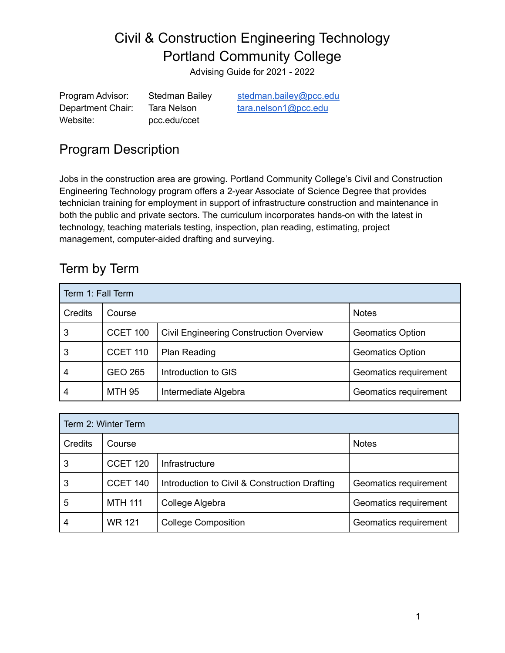Advising Guide for 2021 - 2022

Program Advisor: Stedman Bailey [stedman.bailey@pcc.edu](mailto:stedman.bailey@pcc.edu) Department Chair: Tara Nelson [tara.nelson1@pcc.edu](mailto:tara.nelson1@pcc.edu) Website: pcc.edu/ccet

## Program Description

Jobs in the construction area are growing. Portland Community College's Civil and Construction Engineering Technology program offers a 2-year Associate of Science Degree that provides technician training for employment in support of infrastructure construction and maintenance in both the public and private sectors. The curriculum incorporates hands-on with the latest in technology, teaching materials testing, inspection, plan reading, estimating, project management, computer-aided drafting and surveying.

## Term by Term

| Term 1: Fall Term |                 |                                                |                         |  |
|-------------------|-----------------|------------------------------------------------|-------------------------|--|
| Credits           | Course          |                                                | <b>Notes</b>            |  |
| 3                 | <b>CCET 100</b> | <b>Civil Engineering Construction Overview</b> | <b>Geomatics Option</b> |  |
| 3                 | <b>CCET 110</b> | <b>Plan Reading</b>                            | <b>Geomatics Option</b> |  |
| 4                 | <b>GEO 265</b>  | Introduction to GIS                            | Geomatics requirement   |  |
| 4                 | <b>MTH 95</b>   | Intermediate Algebra                           | Geomatics requirement   |  |

| Term 2: Winter Term |                 |                                               |                       |  |
|---------------------|-----------------|-----------------------------------------------|-----------------------|--|
| Credits             | Course          |                                               | <b>Notes</b>          |  |
| 3                   | <b>CCET 120</b> | Infrastructure                                |                       |  |
| 3                   | <b>CCET 140</b> | Introduction to Civil & Construction Drafting | Geomatics requirement |  |
| 5                   | <b>MTH 111</b>  | College Algebra                               | Geomatics requirement |  |
| 4                   | <b>WR 121</b>   | <b>College Composition</b>                    | Geomatics requirement |  |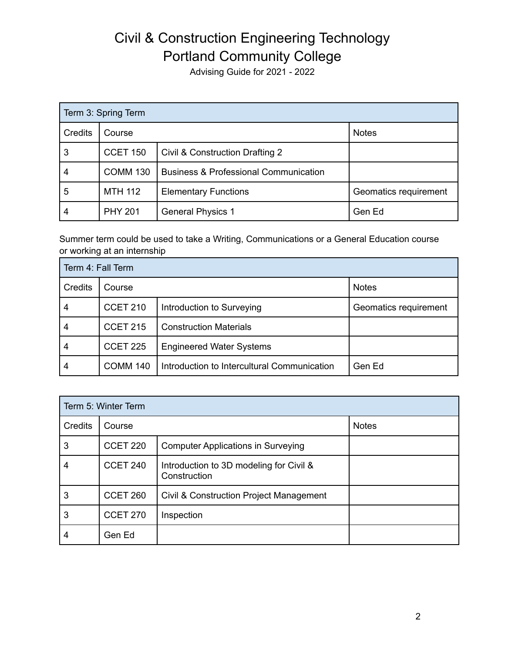Advising Guide for 2021 - 2022

| Term 3: Spring Term |                 |                                                  |                       |  |
|---------------------|-----------------|--------------------------------------------------|-----------------------|--|
| Credits             | Course          |                                                  | <b>Notes</b>          |  |
| 3                   | <b>CCET 150</b> | Civil & Construction Drafting 2                  |                       |  |
| 4                   | <b>COMM 130</b> | <b>Business &amp; Professional Communication</b> |                       |  |
| 5                   | <b>MTH 112</b>  | <b>Elementary Functions</b>                      | Geomatics requirement |  |
| 4                   | <b>PHY 201</b>  | <b>General Physics 1</b>                         | Gen Ed                |  |

Summer term could be used to take a Writing, Communications or a General Education course or working at an internship

| Term 4: Fall Term |                 |                                             |                       |  |
|-------------------|-----------------|---------------------------------------------|-----------------------|--|
| Credits           | Course          |                                             | <b>Notes</b>          |  |
| 4                 | <b>CCET 210</b> | Introduction to Surveying                   | Geomatics requirement |  |
| 4                 | <b>CCET 215</b> | <b>Construction Materials</b>               |                       |  |
| 4                 | <b>CCET 225</b> | <b>Engineered Water Systems</b>             |                       |  |
| 4                 | <b>COMM 140</b> | Introduction to Intercultural Communication | Gen Ed                |  |

| Term 5: Winter Term |                 |                                                         |              |  |
|---------------------|-----------------|---------------------------------------------------------|--------------|--|
| <b>Credits</b>      | Course          |                                                         | <b>Notes</b> |  |
| 3                   | <b>CCET 220</b> | <b>Computer Applications in Surveying</b>               |              |  |
| 4                   | <b>CCET 240</b> | Introduction to 3D modeling for Civil &<br>Construction |              |  |
| 3                   | CCET 260        | Civil & Construction Project Management                 |              |  |
| 3                   | <b>CCET 270</b> | Inspection                                              |              |  |
| 4                   | Gen Ed          |                                                         |              |  |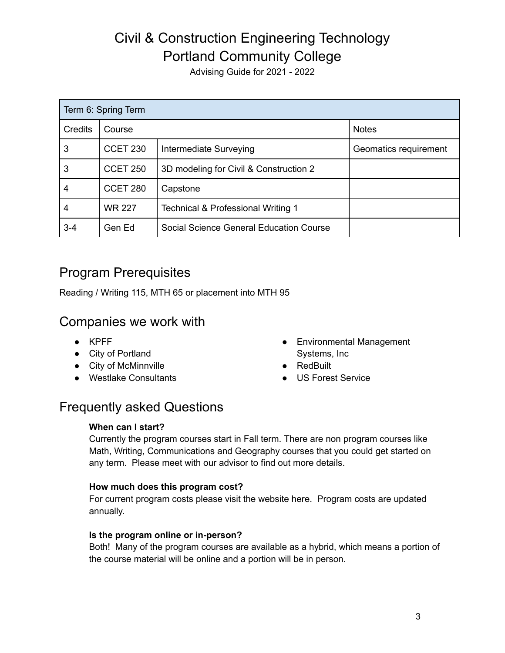Advising Guide for 2021 - 2022

| Term 6: Spring Term |                 |                                         |                       |  |
|---------------------|-----------------|-----------------------------------------|-----------------------|--|
| <b>Credits</b>      | Course          |                                         | <b>Notes</b>          |  |
| 3                   | <b>CCET 230</b> | Intermediate Surveying                  | Geomatics requirement |  |
| 3                   | <b>CCET 250</b> | 3D modeling for Civil & Construction 2  |                       |  |
| 4                   | CCET 280        | Capstone                                |                       |  |
| 4                   | <b>WR 227</b>   | Technical & Professional Writing 1      |                       |  |
| $3 - 4$             | Gen Ed          | Social Science General Education Course |                       |  |

### Program Prerequisites

Reading / Writing 115, MTH 65 or placement into MTH 95

### Companies we work with

- KPFF
- City of Portland
- City of McMinnville
- Westlake Consultants
- Environmental Management Systems, Inc
- RedBuilt
- US Forest Service

## Frequently asked Questions

#### **When can I start?**

Currently the program courses start in Fall term. There are non program courses like Math, Writing, Communications and Geography courses that you could get started on any term. Please meet with our advisor to find out more details.

#### **How much does this program cost?**

For current program costs please visit the website here. Program costs are updated annually.

#### **Is the program online or in-person?**

Both! Many of the program courses are available as a hybrid, which means a portion of the course material will be online and a portion will be in person.